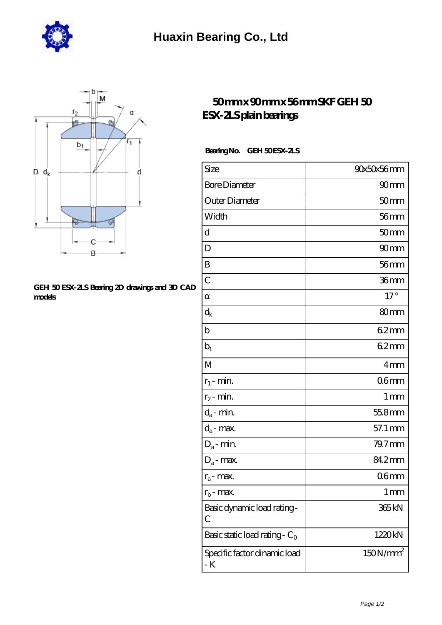



## **[GEH 50 ESX-2LS Bearing 2D drawings and 3D CAD](https://m.hurtwoodmedia.com/pic-4813.html) [models](https://m.hurtwoodmedia.com/pic-4813.html)**

## **[50 mm x 90 mm x 56 mm SKF GEH 50](https://m.hurtwoodmedia.com/af-4813-skf-geh-50-esx-2ls-plain-bearings.html) [ESX-2LS plain bearings](https://m.hurtwoodmedia.com/af-4813-skf-geh-50-esx-2ls-plain-bearings.html)**

## Bearing No. GEH 50 ESX-2LS

| Size                                | 90x50x56mm           |
|-------------------------------------|----------------------|
| <b>Bore Diameter</b>                | 90 <sub>mm</sub>     |
| Outer Diameter                      | 50 <sub>mm</sub>     |
| Width                               | $56$ mm              |
| d                                   | 50 <sub>mm</sub>     |
| D                                   | 90 <sub>mm</sub>     |
| B                                   | 56 <sub>mm</sub>     |
| $\overline{C}$                      | 36mm                 |
|                                     | $17^\circ$           |
| $\rm d_k$                           | 80mm                 |
| b                                   | 62mm                 |
| $b_1$                               | 62mm                 |
| M                                   | 4mm                  |
| $r_1$ - min.                        | 06 <sub>mm</sub>     |
| $r_2$ - min.                        | 1 <sub>mm</sub>      |
| $d_{\boldsymbol{a}}$ - min.         | 55.8mm               |
| $d_a$ - max.                        | 57.1 mm              |
| $D_a$ - min.                        | $79.7$ mm            |
| $D_a$ - max.                        | 842mm                |
| $r_a$ - max.                        | 06 <sub>mm</sub>     |
| $r_{b}$ - max.                      | 1 <sub>mm</sub>      |
| Basic dynamic load rating-<br>С     | 365 <sub>kN</sub>    |
| Basic static load rating - $C_0$    | 1220kN               |
| Specific factor dinamic load<br>- K | 150N/mm <sup>2</sup> |